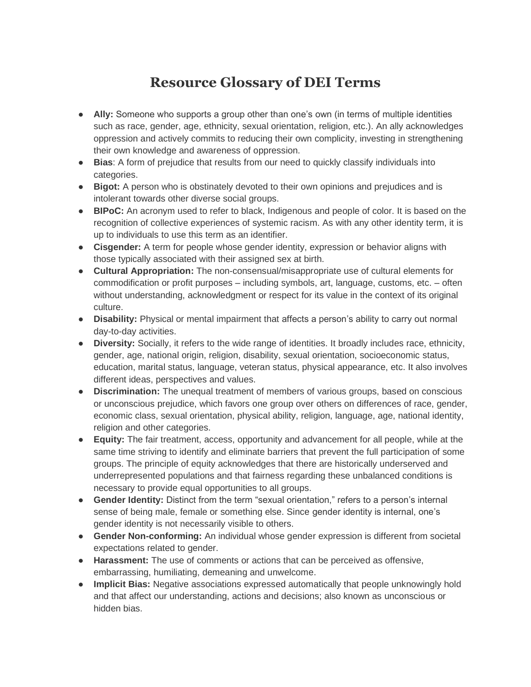## **Resource Glossary of DEI Terms**

- **Ally:** Someone who supports a group other than one's own (in terms of multiple identities such as race, gender, age, ethnicity, sexual orientation, religion, etc.). An ally acknowledges oppression and actively commits to reducing their own complicity, investing in strengthening their own knowledge and awareness of oppression.
- **Bias**: A form of prejudice that results from our need to quickly classify individuals into categories.
- **Bigot:** A person who is obstinately devoted to their own opinions and prejudices and is intolerant towards other diverse social groups.
- **BIPoC:** An acronym used to refer to black, Indigenous and people of color. It is based on the recognition of collective experiences of systemic racism. As with any other identity term, it is up to individuals to use this term as an identifier.
- **Cisgender:** A term for people whose gender identity, expression or behavior aligns with those typically associated with their assigned sex at birth.
- **Cultural Appropriation:** The non-consensual/misappropriate use of cultural elements for commodification or profit purposes – including symbols, art, language, customs, etc. – often without understanding, acknowledgment or respect for its value in the context of its original culture.
- **Disability:** Physical or mental impairment that affects a person's ability to carry out normal day-to-day activities.
- **Diversity:** Socially, it refers to the wide range of identities. It broadly includes race, ethnicity, gender, age, national origin, religion, disability, sexual orientation, socioeconomic status, education, marital status, language, veteran status, physical appearance, etc. It also involves different ideas, perspectives and values.
- **Discrimination:** The unequal treatment of members of various groups, based on conscious or unconscious prejudice, which favors one group over others on differences of race, gender, economic class, sexual orientation, physical ability, religion, language, age, national identity, religion and other categories.
- **Equity:** The fair treatment, access, opportunity and advancement for all people, while at the same time striving to identify and eliminate barriers that prevent the full participation of some groups. The principle of equity acknowledges that there are historically underserved and underrepresented populations and that fairness regarding these unbalanced conditions is necessary to provide equal opportunities to all groups.
- **Gender Identity:** Distinct from the term "sexual orientation," refers to a person's internal sense of being male, female or something else. Since gender identity is internal, one's gender identity is not necessarily visible to others.
- **Gender Non-conforming:** An individual whose gender expression is different from societal expectations related to gender.
- **Harassment:** The use of comments or actions that can be perceived as offensive, embarrassing, humiliating, demeaning and unwelcome.
- **Implicit Bias:** Negative associations expressed automatically that people unknowingly hold and that affect our understanding, actions and decisions; also known as unconscious or hidden bias.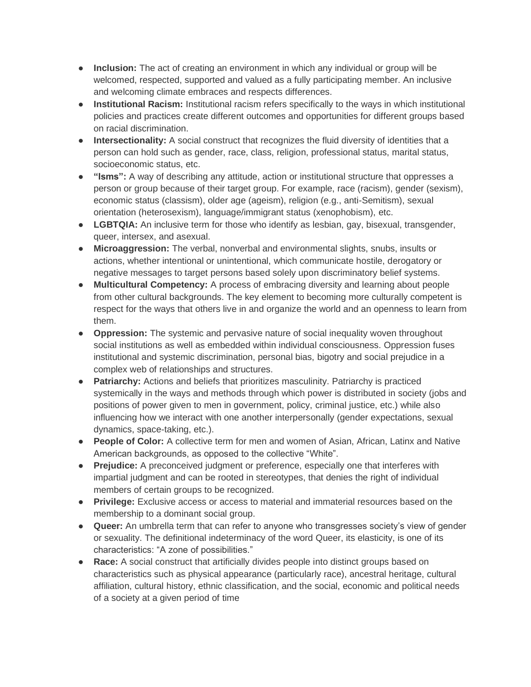- **Inclusion:** The act of creating an environment in which any individual or group will be welcomed, respected, supported and valued as a fully participating member. An inclusive and welcoming climate embraces and respects differences.
- **Institutional Racism:** Institutional racism refers specifically to the ways in which institutional policies and practices create different outcomes and opportunities for different groups based on racial discrimination.
- **Intersectionality:** A social construct that recognizes the fluid diversity of identities that a person can hold such as gender, race, class, religion, professional status, marital status, socioeconomic status, etc.
- **"Isms":** A way of describing any attitude, action or institutional structure that oppresses a person or group because of their target group. For example, race (racism), gender (sexism), economic status (classism), older age (ageism), religion (e.g., anti-Semitism), sexual orientation (heterosexism), language/immigrant status (xenophobism), etc.
- **LGBTQIA:** An inclusive term for those who identify as lesbian, gay, bisexual, transgender, queer, intersex, and asexual.
- **Microaggression:** The verbal, nonverbal and environmental slights, snubs, insults or actions, whether intentional or unintentional, which communicate hostile, derogatory or negative messages to target persons based solely upon discriminatory belief systems.
- **Multicultural Competency:** A process of embracing diversity and learning about people from other cultural backgrounds. The key element to becoming more culturally competent is respect for the ways that others live in and organize the world and an openness to learn from them.
- **Oppression:** The systemic and pervasive nature of social inequality woven throughout social institutions as well as embedded within individual consciousness. Oppression fuses institutional and systemic discrimination, personal bias, bigotry and social prejudice in a complex web of relationships and structures.
- **Patriarchy:** Actions and beliefs that prioritizes masculinity. Patriarchy is practiced systemically in the ways and methods through which power is distributed in society (jobs and positions of power given to men in government, policy, criminal justice, etc.) while also influencing how we interact with one another interpersonally (gender expectations, sexual dynamics, space-taking, etc.).
- **People of Color:** A collective term for men and women of Asian, African, Latinx and Native American backgrounds, as opposed to the collective "White".
- **Prejudice:** A preconceived judgment or preference, especially one that interferes with impartial judgment and can be rooted in stereotypes, that denies the right of individual members of certain groups to be recognized.
- **Privilege:** Exclusive access or access to material and immaterial resources based on the membership to a dominant social group.
- **Queer:** An umbrella term that can refer to anyone who transgresses society's view of gender or sexuality. The definitional indeterminacy of the word Queer, its elasticity, is one of its characteristics: "A zone of possibilities."
- **Race:** A social construct that artificially divides people into distinct groups based on characteristics such as physical appearance (particularly race), ancestral heritage, cultural affiliation, cultural history, ethnic classification, and the social, economic and political needs of a society at a given period of time